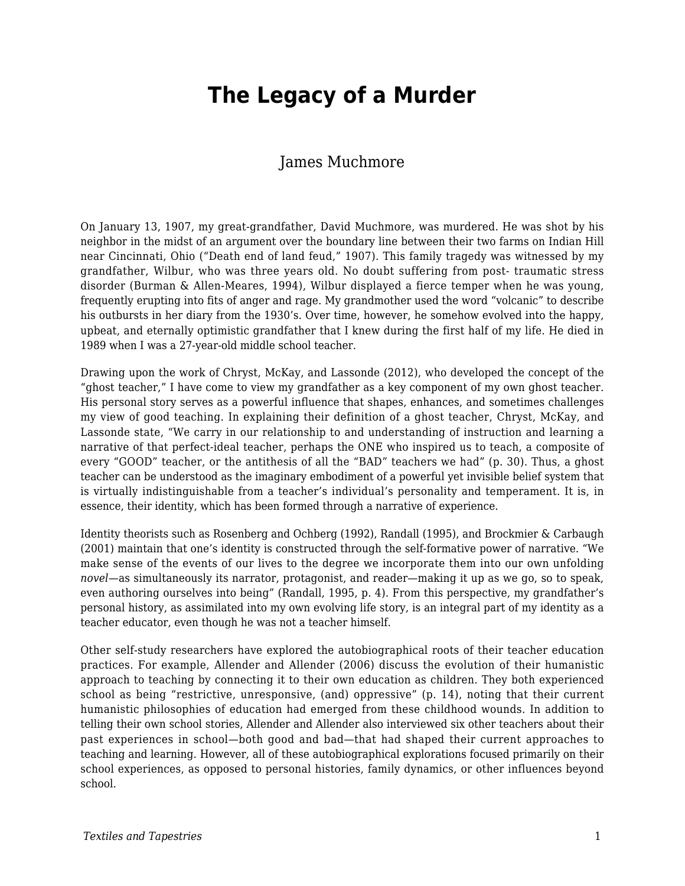# **The Legacy of a Murder**

#### James Muchmore

On January 13, 1907, my great-grandfather, David Muchmore, was murdered. He was shot by his neighbor in the midst of an argument over the boundary line between their two farms on Indian Hill near Cincinnati, Ohio ("Death end of land feud," 1907). This family tragedy was witnessed by my grandfather, Wilbur, who was three years old. No doubt suffering from post- traumatic stress disorder (Burman & Allen-Meares, 1994), Wilbur displayed a fierce temper when he was young, frequently erupting into fits of anger and rage. My grandmother used the word "volcanic" to describe his outbursts in her diary from the 1930's. Over time, however, he somehow evolved into the happy, upbeat, and eternally optimistic grandfather that I knew during the first half of my life. He died in 1989 when I was a 27-year-old middle school teacher.

Drawing upon the work of Chryst, McKay, and Lassonde (2012), who developed the concept of the "ghost teacher," I have come to view my grandfather as a key component of my own ghost teacher. His personal story serves as a powerful influence that shapes, enhances, and sometimes challenges my view of good teaching. In explaining their definition of a ghost teacher, Chryst, McKay, and Lassonde state, "We carry in our relationship to and understanding of instruction and learning a narrative of that perfect-ideal teacher, perhaps the ONE who inspired us to teach, a composite of every "GOOD" teacher, or the antithesis of all the "BAD" teachers we had" (p. 30). Thus, a ghost teacher can be understood as the imaginary embodiment of a powerful yet invisible belief system that is virtually indistinguishable from a teacher's individual's personality and temperament. It is, in essence, their identity, which has been formed through a narrative of experience.

Identity theorists such as Rosenberg and Ochberg (1992), Randall (1995), and Brockmier & Carbaugh (2001) maintain that one's identity is constructed through the self-formative power of narrative. "We make sense of the events of our lives to the degree we incorporate them into our own unfolding *novel*—as simultaneously its narrator, protagonist, and reader—making it up as we go, so to speak, even authoring ourselves into being" (Randall, 1995, p. 4). From this perspective, my grandfather's personal history, as assimilated into my own evolving life story, is an integral part of my identity as a teacher educator, even though he was not a teacher himself.

Other self-study researchers have explored the autobiographical roots of their teacher education practices. For example, Allender and Allender (2006) discuss the evolution of their humanistic approach to teaching by connecting it to their own education as children. They both experienced school as being "restrictive, unresponsive, (and) oppressive" (p. 14), noting that their current humanistic philosophies of education had emerged from these childhood wounds. In addition to telling their own school stories, Allender and Allender also interviewed six other teachers about their past experiences in school—both good and bad—that had shaped their current approaches to teaching and learning. However, all of these autobiographical explorations focused primarily on their school experiences, as opposed to personal histories, family dynamics, or other influences beyond school.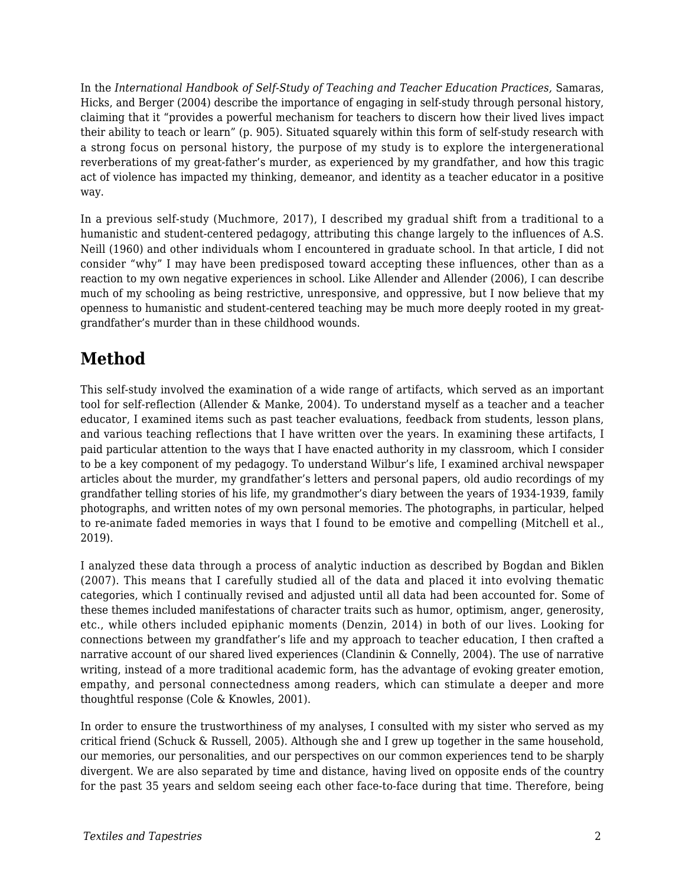In the *International Handbook of Self-Study of Teaching and Teacher Education Practices,* Samaras, Hicks, and Berger (2004) describe the importance of engaging in self-study through personal history, claiming that it "provides a powerful mechanism for teachers to discern how their lived lives impact their ability to teach or learn" (p. 905). Situated squarely within this form of self-study research with a strong focus on personal history, the purpose of my study is to explore the intergenerational reverberations of my great-father's murder, as experienced by my grandfather, and how this tragic act of violence has impacted my thinking, demeanor, and identity as a teacher educator in a positive way.

In a previous self-study (Muchmore, 2017), I described my gradual shift from a traditional to a humanistic and student-centered pedagogy, attributing this change largely to the influences of A.S. Neill (1960) and other individuals whom I encountered in graduate school. In that article, I did not consider "why" I may have been predisposed toward accepting these influences, other than as a reaction to my own negative experiences in school. Like Allender and Allender (2006), I can describe much of my schooling as being restrictive, unresponsive, and oppressive, but I now believe that my openness to humanistic and student-centered teaching may be much more deeply rooted in my greatgrandfather's murder than in these childhood wounds.

## **Method**

This self-study involved the examination of a wide range of artifacts, which served as an important tool for self-reflection (Allender & Manke, 2004). To understand myself as a teacher and a teacher educator, I examined items such as past teacher evaluations, feedback from students, lesson plans, and various teaching reflections that I have written over the years. In examining these artifacts, I paid particular attention to the ways that I have enacted authority in my classroom, which I consider to be a key component of my pedagogy. To understand Wilbur's life, I examined archival newspaper articles about the murder, my grandfather's letters and personal papers, old audio recordings of my grandfather telling stories of his life, my grandmother's diary between the years of 1934-1939, family photographs, and written notes of my own personal memories. The photographs, in particular, helped to re-animate faded memories in ways that I found to be emotive and compelling (Mitchell et al., 2019).

I analyzed these data through a process of analytic induction as described by Bogdan and Biklen (2007). This means that I carefully studied all of the data and placed it into evolving thematic categories, which I continually revised and adjusted until all data had been accounted for. Some of these themes included manifestations of character traits such as humor, optimism, anger, generosity, etc., while others included epiphanic moments (Denzin, 2014) in both of our lives. Looking for connections between my grandfather's life and my approach to teacher education, I then crafted a narrative account of our shared lived experiences (Clandinin & Connelly, 2004). The use of narrative writing, instead of a more traditional academic form, has the advantage of evoking greater emotion, empathy, and personal connectedness among readers, which can stimulate a deeper and more thoughtful response (Cole & Knowles, 2001).

In order to ensure the trustworthiness of my analyses, I consulted with my sister who served as my critical friend (Schuck & Russell, 2005). Although she and I grew up together in the same household, our memories, our personalities, and our perspectives on our common experiences tend to be sharply divergent. We are also separated by time and distance, having lived on opposite ends of the country for the past 35 years and seldom seeing each other face-to-face during that time. Therefore, being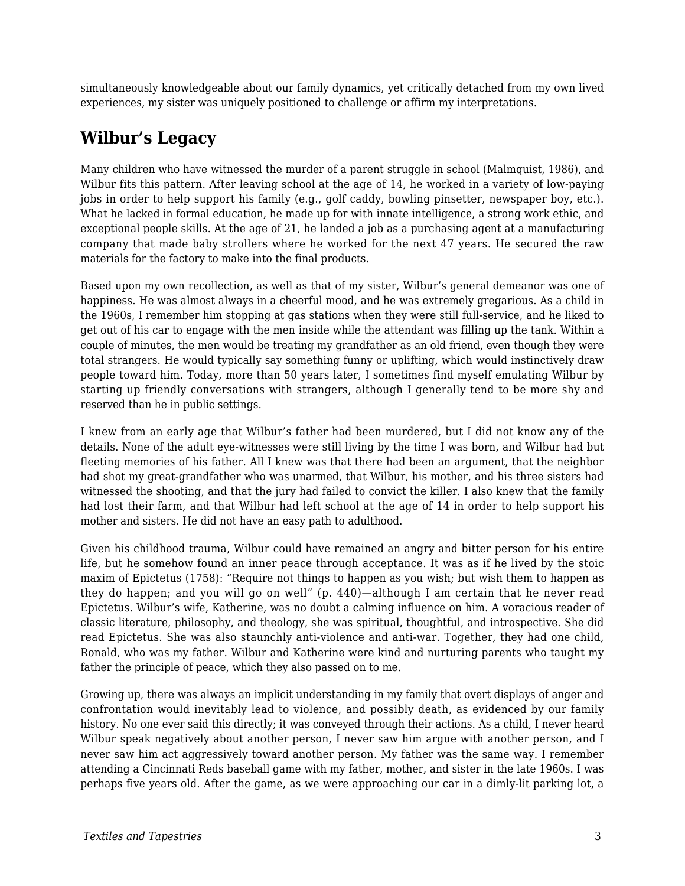simultaneously knowledgeable about our family dynamics, yet critically detached from my own lived experiences, my sister was uniquely positioned to challenge or affirm my interpretations.

#### **Wilbur's Legacy**

Many children who have witnessed the murder of a parent struggle in school (Malmquist, 1986), and Wilbur fits this pattern. After leaving school at the age of 14, he worked in a variety of low-paying jobs in order to help support his family (e.g., golf caddy, bowling pinsetter, newspaper boy, etc.). What he lacked in formal education, he made up for with innate intelligence, a strong work ethic, and exceptional people skills. At the age of 21, he landed a job as a purchasing agent at a manufacturing company that made baby strollers where he worked for the next 47 years. He secured the raw materials for the factory to make into the final products.

Based upon my own recollection, as well as that of my sister, Wilbur's general demeanor was one of happiness. He was almost always in a cheerful mood, and he was extremely gregarious. As a child in the 1960s, I remember him stopping at gas stations when they were still full-service, and he liked to get out of his car to engage with the men inside while the attendant was filling up the tank. Within a couple of minutes, the men would be treating my grandfather as an old friend, even though they were total strangers. He would typically say something funny or uplifting, which would instinctively draw people toward him. Today, more than 50 years later, I sometimes find myself emulating Wilbur by starting up friendly conversations with strangers, although I generally tend to be more shy and reserved than he in public settings.

I knew from an early age that Wilbur's father had been murdered, but I did not know any of the details. None of the adult eye-witnesses were still living by the time I was born, and Wilbur had but fleeting memories of his father. All I knew was that there had been an argument, that the neighbor had shot my great-grandfather who was unarmed, that Wilbur, his mother, and his three sisters had witnessed the shooting, and that the jury had failed to convict the killer. I also knew that the family had lost their farm, and that Wilbur had left school at the age of 14 in order to help support his mother and sisters. He did not have an easy path to adulthood.

Given his childhood trauma, Wilbur could have remained an angry and bitter person for his entire life, but he somehow found an inner peace through acceptance. It was as if he lived by the stoic maxim of Epictetus (1758): "Require not things to happen as you wish; but wish them to happen as they do happen; and you will go on well" (p. 440)—although I am certain that he never read Epictetus. Wilbur's wife, Katherine, was no doubt a calming influence on him. A voracious reader of classic literature, philosophy, and theology, she was spiritual, thoughtful, and introspective. She did read Epictetus. She was also staunchly anti-violence and anti-war. Together, they had one child, Ronald, who was my father. Wilbur and Katherine were kind and nurturing parents who taught my father the principle of peace, which they also passed on to me.

Growing up, there was always an implicit understanding in my family that overt displays of anger and confrontation would inevitably lead to violence, and possibly death, as evidenced by our family history. No one ever said this directly; it was conveyed through their actions. As a child, I never heard Wilbur speak negatively about another person, I never saw him argue with another person, and I never saw him act aggressively toward another person. My father was the same way. I remember attending a Cincinnati Reds baseball game with my father, mother, and sister in the late 1960s. I was perhaps five years old. After the game, as we were approaching our car in a dimly-lit parking lot, a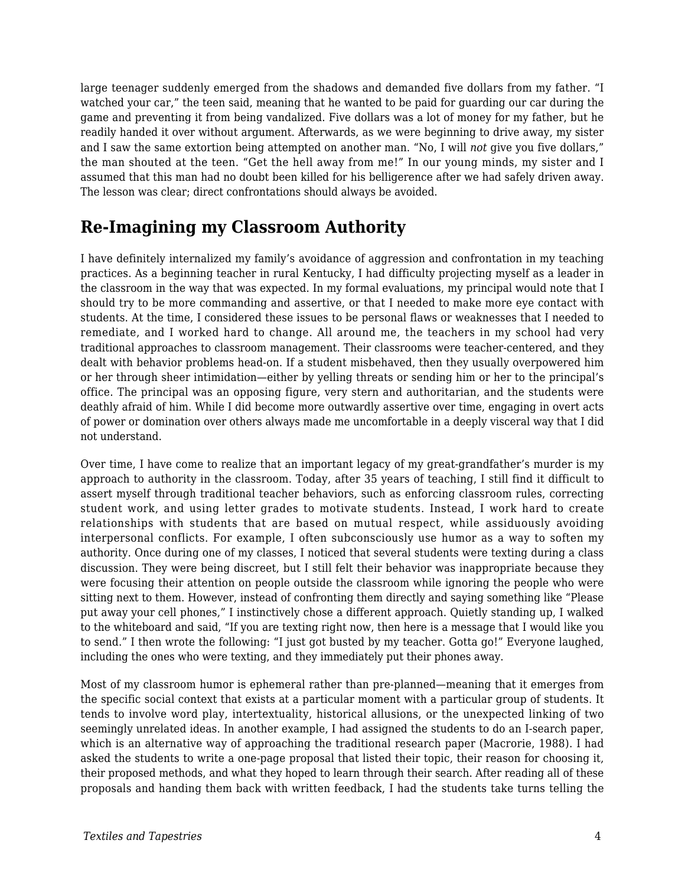large teenager suddenly emerged from the shadows and demanded five dollars from my father. "I watched your car," the teen said, meaning that he wanted to be paid for guarding our car during the game and preventing it from being vandalized. Five dollars was a lot of money for my father, but he readily handed it over without argument. Afterwards, as we were beginning to drive away, my sister and I saw the same extortion being attempted on another man. "No, I will *not* give you five dollars," the man shouted at the teen. "Get the hell away from me!" In our young minds, my sister and I assumed that this man had no doubt been killed for his belligerence after we had safely driven away. The lesson was clear; direct confrontations should always be avoided.

#### **Re-Imagining my Classroom Authority**

I have definitely internalized my family's avoidance of aggression and confrontation in my teaching practices. As a beginning teacher in rural Kentucky, I had difficulty projecting myself as a leader in the classroom in the way that was expected. In my formal evaluations, my principal would note that I should try to be more commanding and assertive, or that I needed to make more eye contact with students. At the time, I considered these issues to be personal flaws or weaknesses that I needed to remediate, and I worked hard to change. All around me, the teachers in my school had very traditional approaches to classroom management. Their classrooms were teacher-centered, and they dealt with behavior problems head-on. If a student misbehaved, then they usually overpowered him or her through sheer intimidation—either by yelling threats or sending him or her to the principal's office. The principal was an opposing figure, very stern and authoritarian, and the students were deathly afraid of him. While I did become more outwardly assertive over time, engaging in overt acts of power or domination over others always made me uncomfortable in a deeply visceral way that I did not understand.

Over time, I have come to realize that an important legacy of my great-grandfather's murder is my approach to authority in the classroom. Today, after 35 years of teaching, I still find it difficult to assert myself through traditional teacher behaviors, such as enforcing classroom rules, correcting student work, and using letter grades to motivate students. Instead, I work hard to create relationships with students that are based on mutual respect, while assiduously avoiding interpersonal conflicts. For example, I often subconsciously use humor as a way to soften my authority. Once during one of my classes, I noticed that several students were texting during a class discussion. They were being discreet, but I still felt their behavior was inappropriate because they were focusing their attention on people outside the classroom while ignoring the people who were sitting next to them. However, instead of confronting them directly and saying something like "Please put away your cell phones," I instinctively chose a different approach. Quietly standing up, I walked to the whiteboard and said, "If you are texting right now, then here is a message that I would like you to send." I then wrote the following: "I just got busted by my teacher. Gotta go!" Everyone laughed, including the ones who were texting, and they immediately put their phones away.

Most of my classroom humor is ephemeral rather than pre-planned—meaning that it emerges from the specific social context that exists at a particular moment with a particular group of students. It tends to involve word play, intertextuality, historical allusions, or the unexpected linking of two seemingly unrelated ideas. In another example, I had assigned the students to do an I-search paper, which is an alternative way of approaching the traditional research paper (Macrorie, 1988). I had asked the students to write a one-page proposal that listed their topic, their reason for choosing it, their proposed methods, and what they hoped to learn through their search. After reading all of these proposals and handing them back with written feedback, I had the students take turns telling the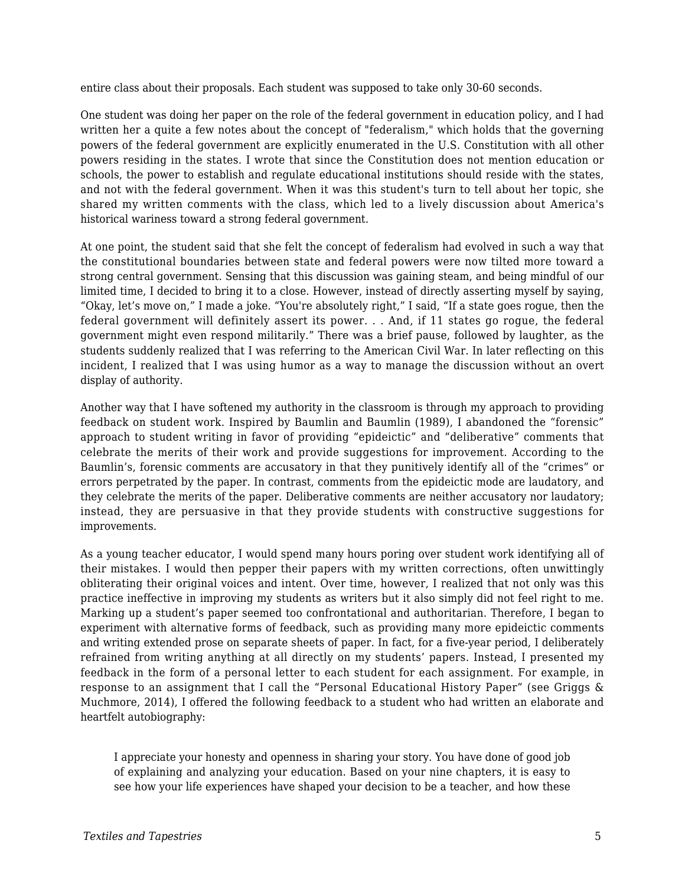entire class about their proposals. Each student was supposed to take only 30-60 seconds.

One student was doing her paper on the role of the federal government in education policy, and I had written her a quite a few notes about the concept of "federalism," which holds that the governing powers of the federal government are explicitly enumerated in the U.S. Constitution with all other powers residing in the states. I wrote that since the Constitution does not mention education or schools, the power to establish and regulate educational institutions should reside with the states, and not with the federal government. When it was this student's turn to tell about her topic, she shared my written comments with the class, which led to a lively discussion about America's historical wariness toward a strong federal government.

At one point, the student said that she felt the concept of federalism had evolved in such a way that the constitutional boundaries between state and federal powers were now tilted more toward a strong central government. Sensing that this discussion was gaining steam, and being mindful of our limited time, I decided to bring it to a close. However, instead of directly asserting myself by saying, "Okay, let's move on," I made a joke. "You're absolutely right," I said, "If a state goes rogue, then the federal government will definitely assert its power. . . And, if 11 states go rogue, the federal government might even respond militarily." There was a brief pause, followed by laughter, as the students suddenly realized that I was referring to the American Civil War. In later reflecting on this incident, I realized that I was using humor as a way to manage the discussion without an overt display of authority.

Another way that I have softened my authority in the classroom is through my approach to providing feedback on student work. Inspired by Baumlin and Baumlin (1989), I abandoned the "forensic" approach to student writing in favor of providing "epideictic" and "deliberative" comments that celebrate the merits of their work and provide suggestions for improvement. According to the Baumlin's, forensic comments are accusatory in that they punitively identify all of the "crimes" or errors perpetrated by the paper. In contrast, comments from the epideictic mode are laudatory, and they celebrate the merits of the paper. Deliberative comments are neither accusatory nor laudatory; instead, they are persuasive in that they provide students with constructive suggestions for improvements.

As a young teacher educator, I would spend many hours poring over student work identifying all of their mistakes. I would then pepper their papers with my written corrections, often unwittingly obliterating their original voices and intent. Over time, however, I realized that not only was this practice ineffective in improving my students as writers but it also simply did not feel right to me. Marking up a student's paper seemed too confrontational and authoritarian. Therefore, I began to experiment with alternative forms of feedback, such as providing many more epideictic comments and writing extended prose on separate sheets of paper. In fact, for a five-year period, I deliberately refrained from writing anything at all directly on my students' papers. Instead, I presented my feedback in the form of a personal letter to each student for each assignment. For example, in response to an assignment that I call the "Personal Educational History Paper" (see Griggs & Muchmore, 2014), I offered the following feedback to a student who had written an elaborate and heartfelt autobiography:

I appreciate your honesty and openness in sharing your story. You have done of good job of explaining and analyzing your education. Based on your nine chapters, it is easy to see how your life experiences have shaped your decision to be a teacher, and how these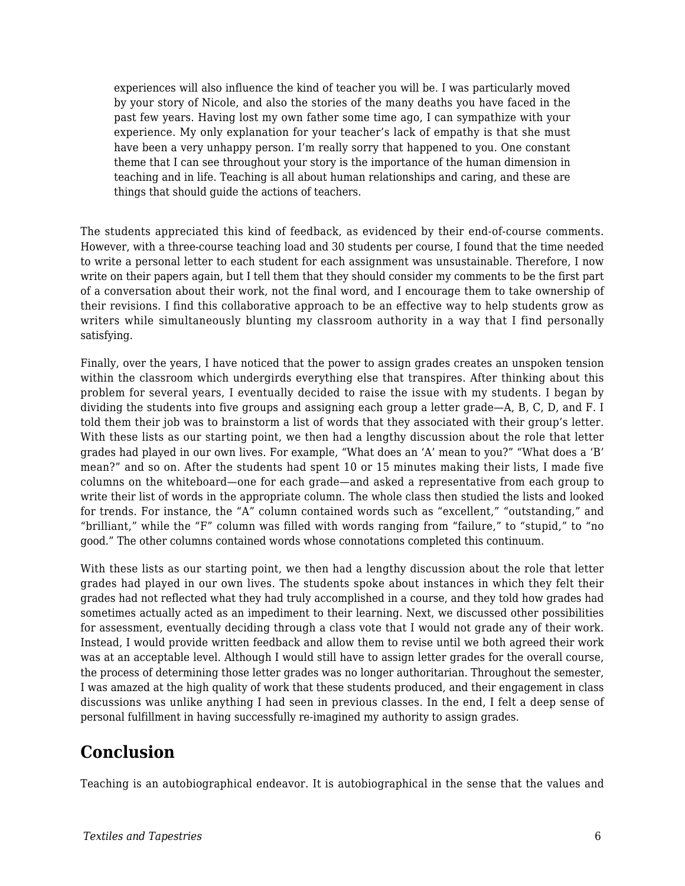experiences will also influence the kind of teacher you will be. I was particularly moved by your story of Nicole, and also the stories of the many deaths you have faced in the past few years. Having lost my own father some time ago, I can sympathize with your experience. My only explanation for your teacher's lack of empathy is that she must have been a very unhappy person. I'm really sorry that happened to you. One constant theme that I can see throughout your story is the importance of the human dimension in teaching and in life. Teaching is all about human relationships and caring, and these are things that should guide the actions of teachers.

The students appreciated this kind of feedback, as evidenced by their end-of-course comments. However, with a three-course teaching load and 30 students per course, I found that the time needed to write a personal letter to each student for each assignment was unsustainable. Therefore, I now write on their papers again, but I tell them that they should consider my comments to be the first part of a conversation about their work, not the final word, and I encourage them to take ownership of their revisions. I find this collaborative approach to be an effective way to help students grow as writers while simultaneously blunting my classroom authority in a way that I find personally satisfying.

Finally, over the years, I have noticed that the power to assign grades creates an unspoken tension within the classroom which undergirds everything else that transpires. After thinking about this problem for several years, I eventually decided to raise the issue with my students. I began by dividing the students into five groups and assigning each group a letter grade—A, B, C, D, and F. I told them their job was to brainstorm a list of words that they associated with their group's letter. With these lists as our starting point, we then had a lengthy discussion about the role that letter grades had played in our own lives. For example, "What does an 'A' mean to you?" "What does a 'B' mean?" and so on. After the students had spent 10 or 15 minutes making their lists, I made five columns on the whiteboard—one for each grade—and asked a representative from each group to write their list of words in the appropriate column. The whole class then studied the lists and looked for trends. For instance, the "A" column contained words such as "excellent," "outstanding," and "brilliant," while the "F" column was filled with words ranging from "failure," to "stupid," to "no good." The other columns contained words whose connotations completed this continuum.

With these lists as our starting point, we then had a lengthy discussion about the role that letter grades had played in our own lives. The students spoke about instances in which they felt their grades had not reflected what they had truly accomplished in a course, and they told how grades had sometimes actually acted as an impediment to their learning. Next, we discussed other possibilities for assessment, eventually deciding through a class vote that I would not grade any of their work. Instead, I would provide written feedback and allow them to revise until we both agreed their work was at an acceptable level. Although I would still have to assign letter grades for the overall course, the process of determining those letter grades was no longer authoritarian. Throughout the semester, I was amazed at the high quality of work that these students produced, and their engagement in class discussions was unlike anything I had seen in previous classes. In the end, I felt a deep sense of personal fulfillment in having successfully re-imagined my authority to assign grades.

### **Conclusion**

Teaching is an autobiographical endeavor. It is autobiographical in the sense that the values and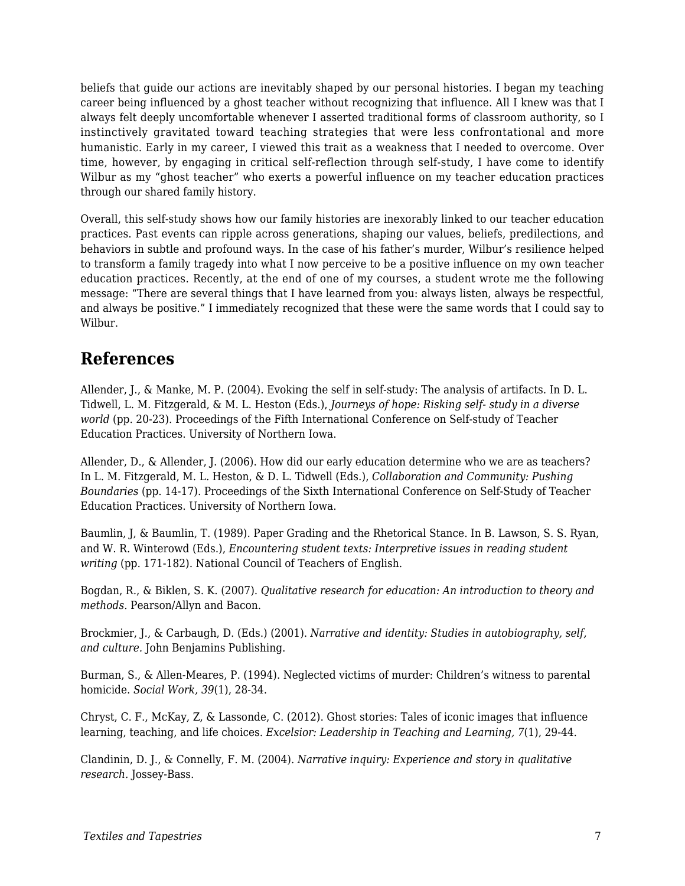beliefs that guide our actions are inevitably shaped by our personal histories. I began my teaching career being influenced by a ghost teacher without recognizing that influence. All I knew was that I always felt deeply uncomfortable whenever I asserted traditional forms of classroom authority, so I instinctively gravitated toward teaching strategies that were less confrontational and more humanistic. Early in my career, I viewed this trait as a weakness that I needed to overcome. Over time, however, by engaging in critical self-reflection through self-study, I have come to identify Wilbur as my "ghost teacher" who exerts a powerful influence on my teacher education practices through our shared family history.

Overall, this self-study shows how our family histories are inexorably linked to our teacher education practices. Past events can ripple across generations, shaping our values, beliefs, predilections, and behaviors in subtle and profound ways. In the case of his father's murder, Wilbur's resilience helped to transform a family tragedy into what I now perceive to be a positive influence on my own teacher education practices. Recently, at the end of one of my courses, a student wrote me the following message: "There are several things that I have learned from you: always listen, always be respectful, and always be positive." I immediately recognized that these were the same words that I could say to Wilbur.

#### **References**

Allender, J., & Manke, M. P. (2004). Evoking the self in self-study: The analysis of artifacts. In D. L. Tidwell, L. M. Fitzgerald, & M. L. Heston (Eds.), *Journeys of hope: Risking self- study in a diverse world* (pp. 20-23)*.* Proceedings of the Fifth International Conference on Self-study of Teacher Education Practices. University of Northern Iowa.

Allender, D., & Allender, J. (2006). How did our early education determine who we are as teachers? In L. M. Fitzgerald, M. L. Heston, & D. L. Tidwell (Eds.), *Collaboration and Community: Pushing Boundaries* (pp. 14-17)*.* Proceedings of the Sixth International Conference on Self-Study of Teacher Education Practices. University of Northern Iowa.

Baumlin, J, & Baumlin, T. (1989). Paper Grading and the Rhetorical Stance. In B. Lawson, S. S. Ryan, and W. R. Winterowd (Eds.), *Encountering student texts: Interpretive issues in reading student writing* (pp. 171-182). National Council of Teachers of English.

Bogdan, R., & Biklen, S. K. (2007). *Qualitative research for education: An introduction to theory and methods.* Pearson/Allyn and Bacon.

Brockmier, J., & Carbaugh, D. (Eds.) (2001). *Narrative and identity: Studies in autobiography, self, and culture.* John Benjamins Publishing.

Burman, S., & Allen-Meares, P. (1994). Neglected victims of murder: Children's witness to parental homicide. *Social Work, 39*(1), 28-34.

Chryst, C. F., McKay, Z, & Lassonde, C. (2012). Ghost stories: Tales of iconic images that influence learning, teaching, and life choices. *Excelsior: Leadership in Teaching and Learning, 7*(1), 29-44.

Clandinin, D. J., & Connelly, F. M. (2004). *Narrative inquiry: Experience and story in qualitative research.* Jossey-Bass.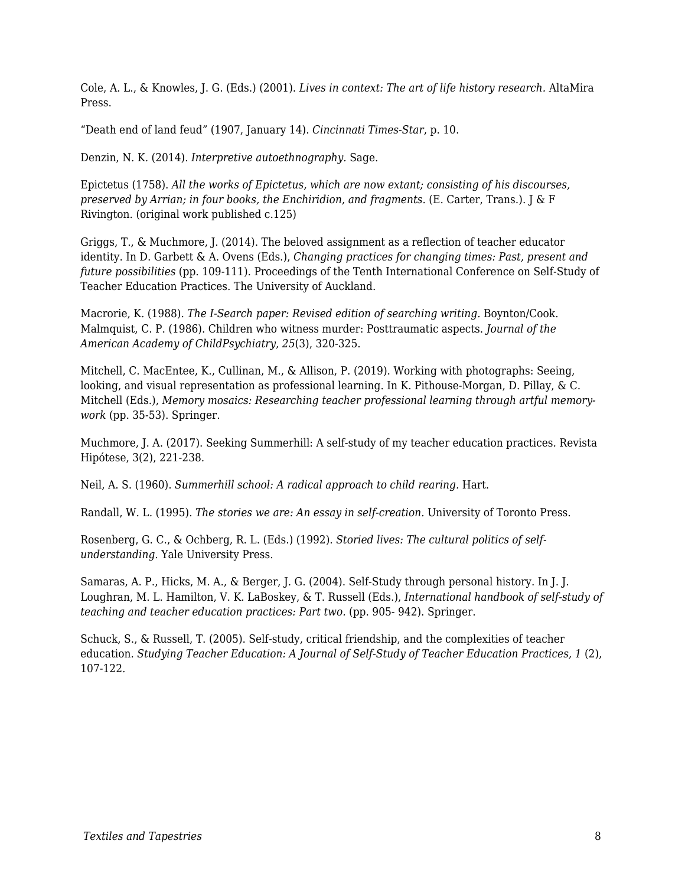Cole, A. L., & Knowles, J. G. (Eds.) (2001). *Lives in context: The art of life history research.* AltaMira Press.

"Death end of land feud" (1907, January 14). *Cincinnati Times-Star*, p. 10.

Denzin, N. K. (2014). *Interpretive autoethnography.* Sage.

Epictetus (1758). *All the works of Epictetus, which are now extant; consisting of his discourses, preserved by Arrian; in four books, the Enchiridion, and fragments.* (E. Carter, Trans.). J & F Rivington. (original work published c.125)

Griggs, T., & Muchmore, J. (2014). The beloved assignment as a reflection of teacher educator identity. In D. Garbett & A. Ovens (Eds.), *Changing practices for changing times: Past, present and future possibilities* (pp. 109-111)*.* Proceedings of the Tenth International Conference on Self-Study of Teacher Education Practices. The University of Auckland.

Macrorie, K. (1988). *The I-Search paper: Revised edition of searching writing.* Boynton/Cook. Malmquist, C. P. (1986). Children who witness murder: Posttraumatic aspects. *Journal of the American Academy of ChildPsychiatry, 25*(3), 320-325.

Mitchell, C. MacEntee, K., Cullinan, M., & Allison, P. (2019). Working with photographs: Seeing, looking, and visual representation as professional learning. In K. Pithouse-Morgan, D. Pillay, & C. Mitchell (Eds.), *Memory mosaics: Researching teacher professional learning through artful memorywork* (pp. 35-53). Springer.

Muchmore, J. A. (2017). Seeking Summerhill: A self-study of my teacher education practices*.* Revista Hipótese, 3(2), 221-238.

Neil, A. S. (1960). *Summerhill school: A radical approach to child rearing.* Hart.

Randall, W. L. (1995). *The stories we are: An essay in self-creation.* University of Toronto Press.

Rosenberg, G. C., & Ochberg, R. L. (Eds.) (1992). *Storied lives: The cultural politics of selfunderstanding.* Yale University Press.

Samaras, A. P., Hicks, M. A., & Berger, J. G. (2004). Self-Study through personal history. In J. J. Loughran, M. L. Hamilton, V. K. LaBoskey, & T. Russell (Eds.), *International handbook of self-study of teaching and teacher education practices: Part two.* (pp. 905- 942). Springer.

Schuck, S., & Russell, T. (2005). Self-study, critical friendship, and the complexities of teacher education. *Studying Teacher Education: A Journal of Self-Study of Teacher Education Practices, 1 (2),* 107-122.